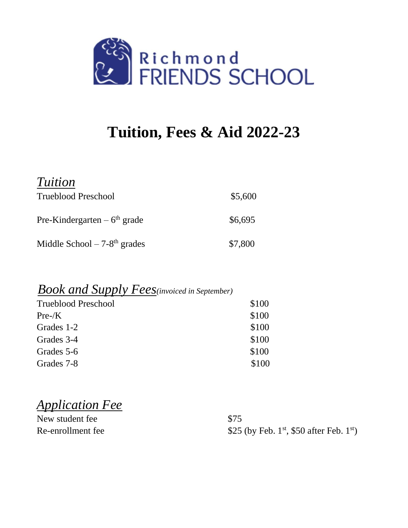

# **Tuition, Fees & Aid 2022-23**

| <i>Tuition</i>                            |         |
|-------------------------------------------|---------|
| <b>Trueblood Preschool</b>                | \$5,600 |
| Pre-Kindergarten – $6th$ grade            | \$6,695 |
| Middle School $-7-8$ <sup>th</sup> grades | \$7,800 |

#### *Book and Supply Fees(invoiced in September)*

| <b>Trueblood Preschool</b> | \$100 |
|----------------------------|-------|
| $Pre-K$                    | \$100 |
| Grades 1-2                 | \$100 |
| Grades 3-4                 | \$100 |
| Grades 5-6                 | \$100 |
| Grades 7-8                 | \$100 |

*Application Fee* 

| New student fee   | \$75                                                              |
|-------------------|-------------------------------------------------------------------|
| Re-enrollment fee | \$25 (by Feb. 1 <sup>st</sup> , \$50 after Feb. 1 <sup>st</sup> ) |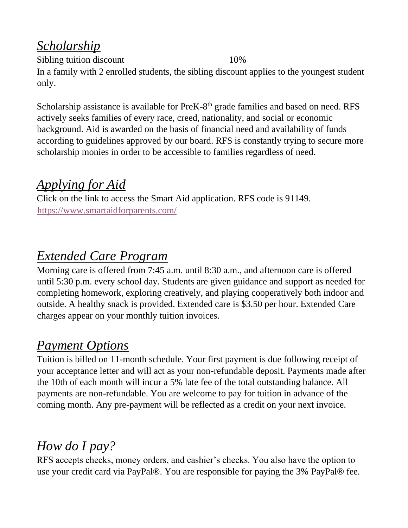# *Scholarship*

Sibling tuition discount 10% In a family with 2 enrolled students, the sibling discount applies to the youngest student only.

Scholarship assistance is available for PreK-8<sup>th</sup> grade families and based on need. RFS actively seeks families of every race, creed, nationality, and social or economic background. Aid is awarded on the basis of financial need and availability of funds according to guidelines approved by our board. RFS is constantly trying to secure more scholarship monies in order to be accessible to families regardless of need.

### *Applying for Aid*

Click on the link to access the Smart Aid application. RFS code is 91149. <https://www.smartaidforparents.com/>

## *Extended Care Program*

Morning care is offered from 7:45 a.m. until 8:30 a.m., and afternoon care is offered until 5:30 p.m. every school day. Students are given guidance and support as needed for completing homework, exploring creatively, and playing cooperatively both indoor and outside. A healthy snack is provided. Extended care is \$3.50 per hour. Extended Care charges appear on your monthly tuition invoices.

# *Payment Options*

Tuition is billed on 11-month schedule. Your first payment is due following receipt of your acceptance letter and will act as your non-refundable deposit. Payments made after the 10th of each month will incur a 5% late fee of the total outstanding balance. All payments are non-refundable. You are welcome to pay for tuition in advance of the coming month. Any pre-payment will be reflected as a credit on your next invoice.

# *How do I pay?*

RFS accepts checks, money orders, and cashier's checks. You also have the option to use your credit card via PayPal®. You are responsible for paying the 3% PayPal® fee.